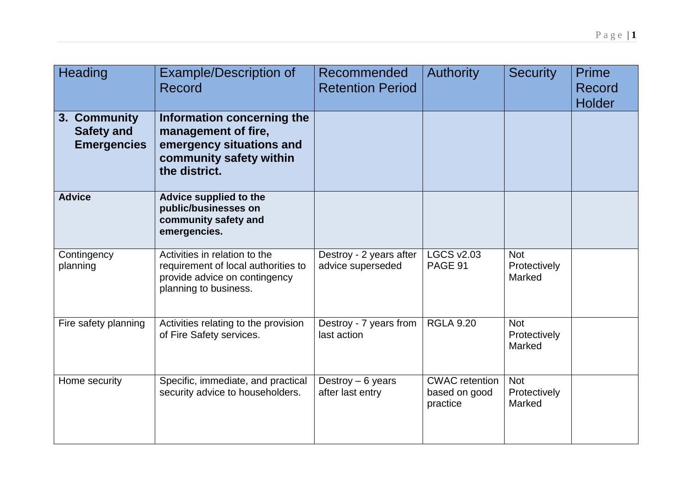| Heading                                                 | <b>Example/Description of</b><br>Record                                                                                        | <b>Recommended</b><br><b>Retention Period</b> | <b>Authority</b>                                   | <b>Security</b>                      | <b>Prime</b><br>Record<br><b>Holder</b> |
|---------------------------------------------------------|--------------------------------------------------------------------------------------------------------------------------------|-----------------------------------------------|----------------------------------------------------|--------------------------------------|-----------------------------------------|
| 3. Community<br><b>Safety and</b><br><b>Emergencies</b> | Information concerning the<br>management of fire,<br>emergency situations and<br>community safety within<br>the district.      |                                               |                                                    |                                      |                                         |
| <b>Advice</b>                                           | Advice supplied to the<br>public/businesses on<br>community safety and<br>emergencies.                                         |                                               |                                                    |                                      |                                         |
| Contingency<br>planning                                 | Activities in relation to the<br>requirement of local authorities to<br>provide advice on contingency<br>planning to business. | Destroy - 2 years after<br>advice superseded  | <b>LGCS v2.03</b><br>PAGE 91                       | <b>Not</b><br>Protectively<br>Marked |                                         |
| Fire safety planning                                    | Activities relating to the provision<br>of Fire Safety services.                                                               | Destroy - 7 years from<br>last action         | <b>RGLA 9.20</b>                                   | <b>Not</b><br>Protectively<br>Marked |                                         |
| Home security                                           | Specific, immediate, and practical<br>security advice to householders.                                                         | Destroy $-6$ years<br>after last entry        | <b>CWAC</b> retention<br>based on good<br>practice | <b>Not</b><br>Protectively<br>Marked |                                         |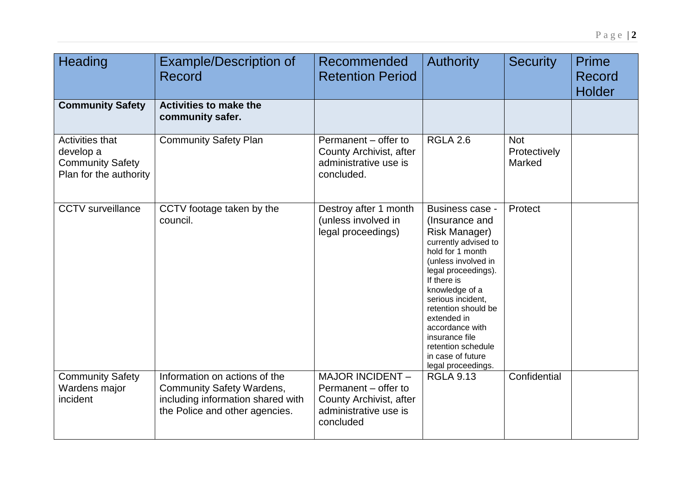| Heading                                                                                  | <b>Example/Description of</b><br>Record                                                                                                  | Recommended<br><b>Retention Period</b>                                                                    | <b>Authority</b>                                                                                                                                                                                                                                                                                                                                      | <b>Security</b>                      | <b>Prime</b><br>Record<br><b>Holder</b> |
|------------------------------------------------------------------------------------------|------------------------------------------------------------------------------------------------------------------------------------------|-----------------------------------------------------------------------------------------------------------|-------------------------------------------------------------------------------------------------------------------------------------------------------------------------------------------------------------------------------------------------------------------------------------------------------------------------------------------------------|--------------------------------------|-----------------------------------------|
| <b>Community Safety</b>                                                                  | <b>Activities to make the</b><br>community safer.                                                                                        |                                                                                                           |                                                                                                                                                                                                                                                                                                                                                       |                                      |                                         |
| <b>Activities that</b><br>develop a<br><b>Community Safety</b><br>Plan for the authority | <b>Community Safety Plan</b>                                                                                                             | Permanent – offer to<br>County Archivist, after<br>administrative use is<br>concluded.                    | <b>RGLA 2.6</b>                                                                                                                                                                                                                                                                                                                                       | <b>Not</b><br>Protectively<br>Marked |                                         |
| <b>CCTV</b> surveillance                                                                 | CCTV footage taken by the<br>council.                                                                                                    | Destroy after 1 month<br>(unless involved in<br>legal proceedings)                                        | Business case -<br>(Insurance and<br><b>Risk Manager)</b><br>currently advised to<br>hold for 1 month<br>(unless involved in<br>legal proceedings).<br>If there is<br>knowledge of a<br>serious incident,<br>retention should be<br>extended in<br>accordance with<br>insurance file<br>retention schedule<br>in case of future<br>legal proceedings. | Protect                              |                                         |
| <b>Community Safety</b><br>Wardens major<br><i>incident</i>                              | Information on actions of the<br><b>Community Safety Wardens,</b><br>including information shared with<br>the Police and other agencies. | MAJOR INCIDENT -<br>Permanent – offer to<br>County Archivist, after<br>administrative use is<br>concluded | <b>RGLA 9.13</b>                                                                                                                                                                                                                                                                                                                                      | Confidential                         |                                         |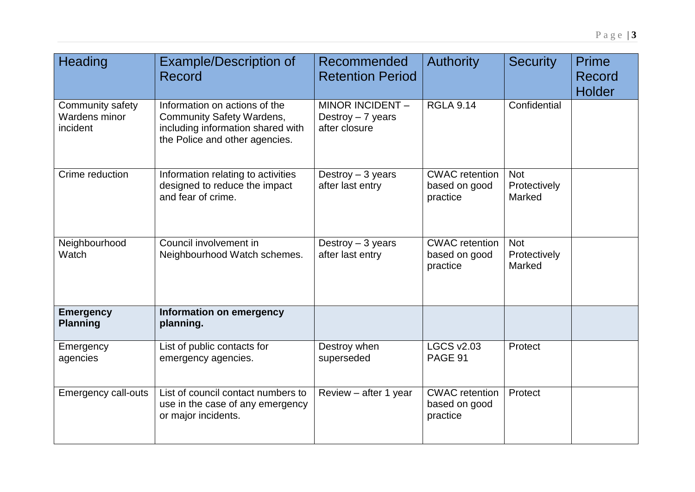| Heading                                       | <b>Example/Description of</b><br><b>Record</b>                                                                                           | Recommended<br><b>Retention Period</b>                 | <b>Authority</b>                                   | <b>Security</b>                      | Prime<br>Record<br><b>Holder</b> |
|-----------------------------------------------|------------------------------------------------------------------------------------------------------------------------------------------|--------------------------------------------------------|----------------------------------------------------|--------------------------------------|----------------------------------|
| Community safety<br>Wardens minor<br>incident | Information on actions of the<br><b>Community Safety Wardens,</b><br>including information shared with<br>the Police and other agencies. | MINOR INCIDENT-<br>Destroy $-7$ years<br>after closure | <b>RGLA 9.14</b>                                   | Confidential                         |                                  |
| Crime reduction                               | Information relating to activities<br>designed to reduce the impact<br>and fear of crime.                                                | Destroy $-3$ years<br>after last entry                 | <b>CWAC</b> retention<br>based on good<br>practice | <b>Not</b><br>Protectively<br>Marked |                                  |
| Neighbourhood<br>Watch                        | Council involvement in<br>Neighbourhood Watch schemes.                                                                                   | Destroy $-3$ years<br>after last entry                 | <b>CWAC</b> retention<br>based on good<br>practice | <b>Not</b><br>Protectively<br>Marked |                                  |
| <b>Emergency</b><br><b>Planning</b>           | Information on emergency<br>planning.                                                                                                    |                                                        |                                                    |                                      |                                  |
| Emergency<br>agencies                         | List of public contacts for<br>emergency agencies.                                                                                       | Destroy when<br>superseded                             | <b>LGCS v2.03</b><br>PAGE 91                       | Protect                              |                                  |
| <b>Emergency call-outs</b>                    | List of council contact numbers to<br>use in the case of any emergency<br>or major incidents.                                            | Review - after 1 year                                  | <b>CWAC</b> retention<br>based on good<br>practice | Protect                              |                                  |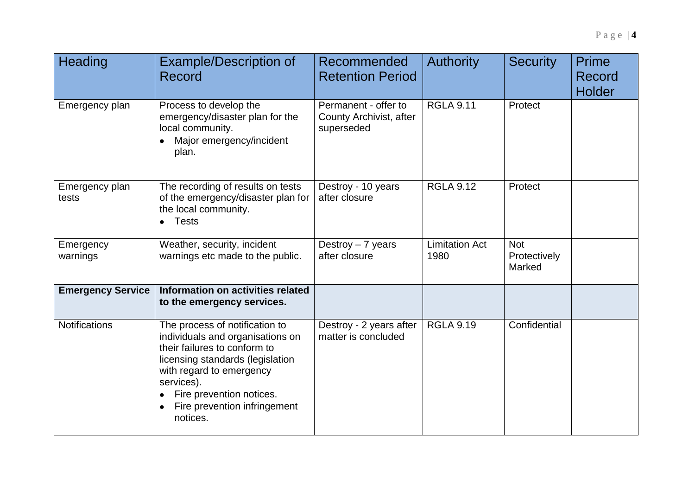| <b>Heading</b>           | <b>Example/Description of</b><br>Record                                                                                                                                                                                                                  | Recommended<br><b>Retention Period</b>                        | <b>Authority</b>              | <b>Security</b>                      | Prime<br>Record<br><b>Holder</b> |
|--------------------------|----------------------------------------------------------------------------------------------------------------------------------------------------------------------------------------------------------------------------------------------------------|---------------------------------------------------------------|-------------------------------|--------------------------------------|----------------------------------|
| Emergency plan           | Process to develop the<br>emergency/disaster plan for the<br>local community.<br>Major emergency/incident<br>plan.                                                                                                                                       | Permanent - offer to<br>County Archivist, after<br>superseded | <b>RGLA 9.11</b>              | Protect                              |                                  |
| Emergency plan<br>tests  | The recording of results on tests<br>of the emergency/disaster plan for<br>the local community.<br>$\bullet$ Tests                                                                                                                                       | Destroy - 10 years<br>after closure                           | <b>RGLA 9.12</b>              | Protect                              |                                  |
| Emergency<br>warnings    | Weather, security, incident<br>warnings etc made to the public.                                                                                                                                                                                          | Destroy $-7$ years<br>after closure                           | <b>Limitation Act</b><br>1980 | <b>Not</b><br>Protectively<br>Marked |                                  |
| <b>Emergency Service</b> | Information on activities related<br>to the emergency services.                                                                                                                                                                                          |                                                               |                               |                                      |                                  |
| <b>Notifications</b>     | The process of notification to<br>individuals and organisations on<br>their failures to conform to<br>licensing standards (legislation<br>with regard to emergency<br>services).<br>Fire prevention notices.<br>Fire prevention infringement<br>notices. | Destroy - 2 years after<br>matter is concluded                | <b>RGLA 9.19</b>              | Confidential                         |                                  |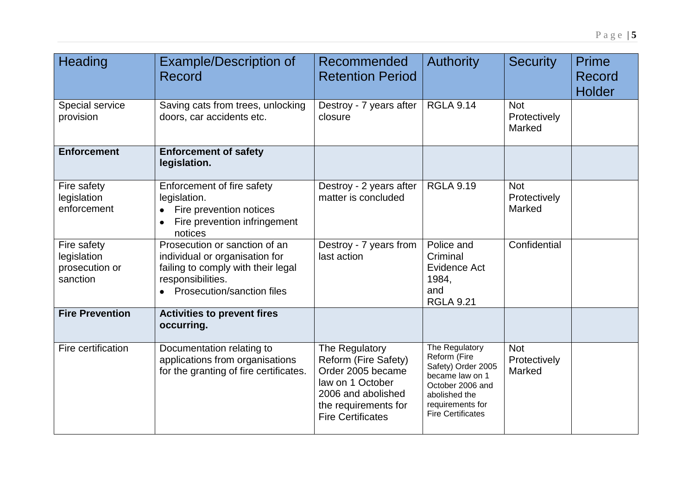| <b>Heading</b>                                           | <b>Example/Description of</b><br>Record                                                                                                                    | Recommended<br><b>Retention Period</b>                                                                                                                    | <b>Authority</b>                                                                                                                                             | <b>Security</b>                      | <b>Prime</b><br>Record<br><b>Holder</b> |
|----------------------------------------------------------|------------------------------------------------------------------------------------------------------------------------------------------------------------|-----------------------------------------------------------------------------------------------------------------------------------------------------------|--------------------------------------------------------------------------------------------------------------------------------------------------------------|--------------------------------------|-----------------------------------------|
| Special service<br>provision                             | Saving cats from trees, unlocking<br>doors, car accidents etc.                                                                                             | Destroy - 7 years after<br>closure                                                                                                                        | <b>RGLA 9.14</b>                                                                                                                                             | <b>Not</b><br>Protectively<br>Marked |                                         |
| <b>Enforcement</b>                                       | <b>Enforcement of safety</b><br>legislation.                                                                                                               |                                                                                                                                                           |                                                                                                                                                              |                                      |                                         |
| Fire safety<br>legislation<br>enforcement                | Enforcement of fire safety<br>legislation.<br>Fire prevention notices<br>Fire prevention infringement<br>$\bullet$<br>notices                              | Destroy - 2 years after<br>matter is concluded                                                                                                            | <b>RGLA 9.19</b>                                                                                                                                             | <b>Not</b><br>Protectively<br>Marked |                                         |
| Fire safety<br>legislation<br>prosecution or<br>sanction | Prosecution or sanction of an<br>individual or organisation for<br>failing to comply with their legal<br>responsibilities.<br>• Prosecution/sanction files | Destroy - 7 years from<br>last action                                                                                                                     | Police and<br>Criminal<br>Evidence Act<br>1984,<br>and<br><b>RGLA 9.21</b>                                                                                   | Confidential                         |                                         |
| <b>Fire Prevention</b>                                   | <b>Activities to prevent fires</b><br>occurring.                                                                                                           |                                                                                                                                                           |                                                                                                                                                              |                                      |                                         |
| Fire certification                                       | Documentation relating to<br>applications from organisations<br>for the granting of fire certificates.                                                     | The Regulatory<br>Reform (Fire Safety)<br>Order 2005 became<br>law on 1 October<br>2006 and abolished<br>the requirements for<br><b>Fire Certificates</b> | The Regulatory<br>Reform (Fire<br>Safety) Order 2005<br>became law on 1<br>October 2006 and<br>abolished the<br>requirements for<br><b>Fire Certificates</b> | <b>Not</b><br>Protectively<br>Marked |                                         |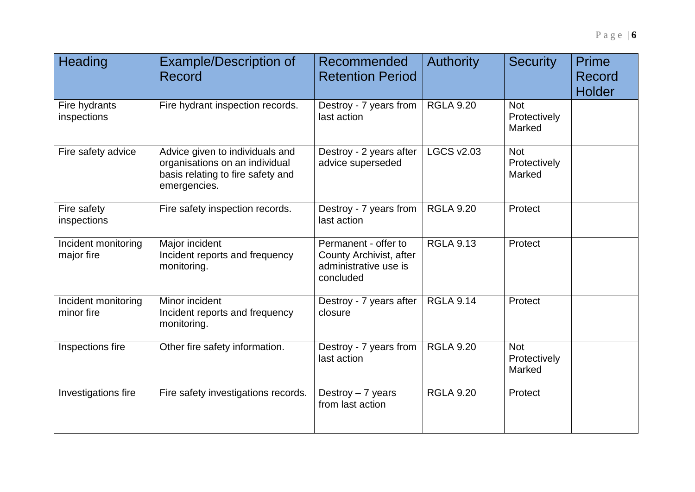| Heading                           | <b>Example/Description of</b><br>Record                                                                                | Recommended<br><b>Retention Period</b>                                                | <b>Authority</b>  | <b>Security</b>                      | <b>Prime</b><br>Record<br>Holder |
|-----------------------------------|------------------------------------------------------------------------------------------------------------------------|---------------------------------------------------------------------------------------|-------------------|--------------------------------------|----------------------------------|
| Fire hydrants<br>inspections      | Fire hydrant inspection records.                                                                                       | Destroy - 7 years from<br>last action                                                 | <b>RGLA 9.20</b>  | <b>Not</b><br>Protectively<br>Marked |                                  |
| Fire safety advice                | Advice given to individuals and<br>organisations on an individual<br>basis relating to fire safety and<br>emergencies. | Destroy - 2 years after<br>advice superseded                                          | <b>LGCS v2.03</b> | <b>Not</b><br>Protectively<br>Marked |                                  |
| Fire safety<br>inspections        | Fire safety inspection records.                                                                                        | Destroy - 7 years from<br>last action                                                 | <b>RGLA 9.20</b>  | Protect                              |                                  |
| Incident monitoring<br>major fire | Major incident<br>Incident reports and frequency<br>monitoring.                                                        | Permanent - offer to<br>County Archivist, after<br>administrative use is<br>concluded | <b>RGLA 9.13</b>  | Protect                              |                                  |
| Incident monitoring<br>minor fire | Minor incident<br>Incident reports and frequency<br>monitoring.                                                        | Destroy - 7 years after<br>closure                                                    | <b>RGLA 9.14</b>  | Protect                              |                                  |
| Inspections fire                  | Other fire safety information.                                                                                         | Destroy - 7 years from<br>last action                                                 | <b>RGLA 9.20</b>  | <b>Not</b><br>Protectively<br>Marked |                                  |
| Investigations fire               | Fire safety investigations records.                                                                                    | Destroy $-7$ years<br>from last action                                                | <b>RGLA 9.20</b>  | Protect                              |                                  |